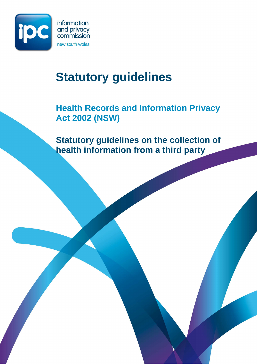

I

# **Statutory guidelines**

# **Health Records and Information Privacy Act 2002 (NSW)**

**Statutory guidelines on the collection of health information from a third party**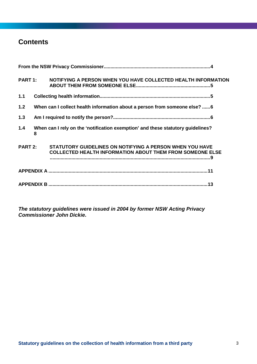# **Contents**

| <b>PART 1:</b> |   | NOTIFYING A PERSON WHEN YOU HAVE COLLECTED HEALTH INFORMATION                                                                |  |
|----------------|---|------------------------------------------------------------------------------------------------------------------------------|--|
| 1.1            |   |                                                                                                                              |  |
| 1.2            |   | When can I collect health information about a person from someone else? 6                                                    |  |
| 1.3            |   |                                                                                                                              |  |
| 1.4            | 8 | When can I rely on the 'notification exemption' and these statutory guidelines?                                              |  |
| PART 2:        |   | STATUTORY GUIDELINES ON NOTIFYING A PERSON WHEN YOU HAVE<br><b>COLLECTED HEALTH INFORMATION ABOUT THEM FROM SOMEONE ELSE</b> |  |
|                |   |                                                                                                                              |  |
|                |   |                                                                                                                              |  |

**The statutory guidelines were issued in 2004 by former NSW Acting Privacy Commissioner John Dickie.**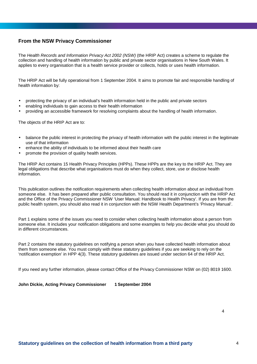#### **From the NSW Privacy Commissioner**

The Health Records and Information Privacy Act 2002 (NSW) (the HRIP Act) creates a scheme to regulate the collection and handling of health information by public and private sector organisations in New South Wales. It applies to every organisation that is a health service provider or collects, holds or uses health information.

The HRIP Act will be fully operational from 1 September 2004. It aims to promote fair and responsible handling of health information by:

- protecting the privacy of an individual's health information held in the public and private sectors
- enabling individuals to gain access to their health information
- providing an accessible framework for resolving complaints about the handling of health information.

The objects of the HRIP Act are to:

- balance the public interest in protecting the privacy of health information with the public interest in the legitimate use of that information
- enhance the ability of individuals to be informed about their health care
- promote the provision of quality health services.

The HRIP Act contains 15 Health Privacy Principles (HPPs). These HPPs are the key to the HRIP Act. They are legal obligations that describe what organisations must do when they collect, store, use or disclose health information.

This publication outlines the notification requirements when collecting health information about an individual from someone else. It has been prepared after public consultation. You should read it in conjunction with the HRIP Act and the Office of the Privacy Commissioner NSW 'User Manual: Handbook to Health Privacy'. If you are from the public health system, you should also read it in conjunction with the NSW Health Department's 'Privacy Manual'.

Part 1 explains some of the issues you need to consider when collecting health information about a person from someone else. It includes your notification obligations and some examples to help you decide what you should do in different circumstances.

Part 2 contains the statutory guidelines on notifying a person when you have collected health information about them from someone else. You must comply with these statutory guidelines if you are seeking to rely on the 'notification exemption' in HPP 4(3). These statutory guidelines are issued under section 64 of the HRIP Act.

If you need any further information, please contact Office of the Privacy Commissioner NSW on (02) 8019 1600.

#### **John Dickie, Acting Privacy Commissioner 1 September 2004**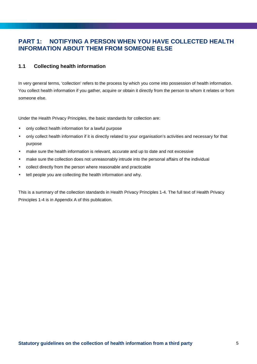# **PART 1: NOTIFYING A PERSON WHEN YOU HAVE COLLECTED HEALTH INFORMATION ABOUT THEM FROM SOMEONE ELSE**

#### **1.1 Collecting health information**

In very general terms, 'collection' refers to the process by which you come into possession of health information. You collect health information if you gather, acquire or obtain it directly from the person to whom it relates or from someone else.

Under the Health Privacy Principles, the basic standards for collection are:

- only collect health information for a lawful purpose
- only collect health information if it is directly related to your organisation's activities and necessary for that purpose
- make sure the health information is relevant, accurate and up to date and not excessive
- make sure the collection does not unreasonably intrude into the personal affairs of the individual
- collect directly from the person where reasonable and practicable
- tell people you are collecting the health information and why.

This is a summary of the collection standards in Health Privacy Principles 1-4. The full text of Health Privacy Principles 1-4 is in Appendix A of this publication.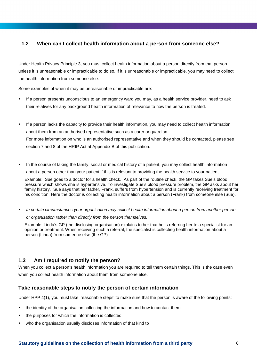### **1.2 When can I collect health information about a person from someone else?**

Under Health Privacy Principle 3, you must collect health information about a person directly from that person unless it is unreasonable or impracticable to do so. If it is unreasonable or impracticable, you may need to collect the health information from someone else.

Some examples of when it may be unreasonable or impracticable are:

- If a person presents unconscious to an emergency ward you may, as a health service provider, need to ask their relatives for any background health information of relevance to how the person is treated.
- If a person lacks the capacity to provide their health information, you may need to collect health information about them from an authorised representative such as a carer or guardian. For more information on who is an authorised representative and when they should be contacted, please see section 7 and 8 of the HRIP Act at Appendix B of this publication.
- In the course of taking the family, social or medical history of a patient, you may collect health information about a person other than your patient if this is relevant to providing the health service to your patient.

Example: Sue goes to a doctor for a health check. As part of the routine check, the GP takes Sue's blood pressure which shows she is hypertensive. To investigate Sue's blood pressure problem, the GP asks about her family history. Sue says that her father, Frank, suffers from hypertension and is currently receiving treatment for his condition. Here the doctor is collecting health information about a person (Frank) from someone else (Sue).

• In certain circumstances your organisation may collect health information about a person from another person or organisation rather than directly from the person themselves.

Example: Linda's GP (the disclosing organisation) explains to her that he is referring her to a specialist for an opinion or treatment. When receiving such a referral, the specialist is collecting health information about a person (Linda) from someone else (the GP).

#### **1.3 Am I required to notify the person?**

When you collect a person's health information you are required to tell them certain things. This is the case even when you collect health information about them from someone else.

#### **Take reasonable steps to notify the person of certain information**

Under HPP 4(1), you must take 'reasonable steps' to make sure that the person is aware of the following points:

- the identity of the organisation collecting the information and how to contact them
- the purposes for which the information is collected
- who the organisation usually discloses information of that kind to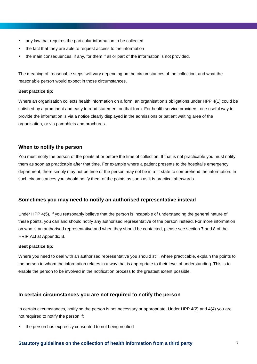- any law that requires the particular information to be collected
- the fact that they are able to request access to the information
- the main consequences, if any, for them if all or part of the information is not provided.

The meaning of 'reasonable steps' will vary depending on the circumstances of the collection, and what the reasonable person would expect in those circumstances.

#### **Best practice tip:**

Where an organisation collects health information on a form, an organisation's obligations under HPP 4(1) could be satisfied by a prominent and easy to read statement on that form. For health service providers, one useful way to provide the information is via a notice clearly displayed in the admissions or patient waiting area of the organisation, or via pamphlets and brochures.

#### **When to notify the person**

You must notify the person of the points at or before the time of collection. If that is not practicable you must notify them as soon as practicable after that time. For example where a patient presents to the hospital's emergency department, there simply may not be time or the person may not be in a fit state to comprehend the information. In such circumstances you should notify them of the points as soon as it is practical afterwards.

#### **Sometimes you may need to notify an authorised representative instead**

Under HPP 4(5), if you reasonably believe that the person is incapable of understanding the general nature of these points, you can and should notify any authorised representative of the person instead. For more information on who is an authorised representative and when they should be contacted, please see section 7 and 8 of the HRIP Act at Appendix B.

#### **Best practice tip:**

Where you need to deal with an authorised representative you should still, where practicable, explain the points to the person to whom the information relates in a way that is appropriate to their level of understanding. This is to enable the person to be involved in the notification process to the greatest extent possible.

#### **In certain circumstances you are not required to notify the person**

In certain circumstances, notifying the person is not necessary or appropriate. Under HPP 4(2) and 4(4) you are not required to notify the person if:

the person has expressly consented to not being notified

#### **Statutory guidelines on the collection of health information from a third party** 7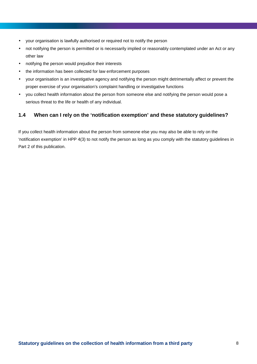- your organisation is lawfully authorised or required not to notify the person
- not notifying the person is permitted or is necessarily implied or reasonably contemplated under an Act or any other law
- notifying the person would prejudice their interests
- the information has been collected for law enforcement purposes
- your organisation is an investigative agency and notifying the person might detrimentally affect or prevent the proper exercise of your organisation's complaint handling or investigative functions
- you collect health information about the person from someone else and notifying the person would pose a serious threat to the life or health of any individual.

#### **1.4 When can I rely on the 'notification exemption' and these statutory guidelines?**

If you collect health information about the person from someone else you may also be able to rely on the 'notification exemption' in HPP 4(3) to not notify the person as long as you comply with the statutory guidelines in Part 2 of this publication.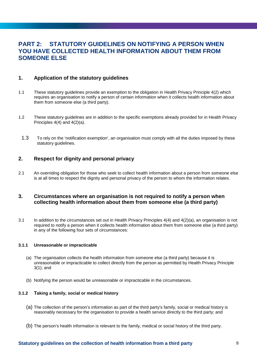## **PART 2: STATUTORY GUIDELINES ON NOTIFYING A PERSON WHEN YOU HAVE COLLECTED HEALTH INFORMATION ABOUT THEM FROM SOMEONE ELSE**

#### **1. Application of the statutory guidelines**

- 1.1 These statutory guidelines provide an exemption to the obligation in Health Privacy Principle 4(2) which requires an organisation to notify a person of certain information when it collects health information about them from someone else (a third party).
- 1.2 These statutory guidelines are in addition to the specific exemptions already provided for in Health Privacy Principles 4(4) and 4(2)(a).
	- 1.3 To rely on the 'notification exemption', an organisation must comply with all the duties imposed by these statutory guidelines.

#### **2. Respect for dignity and personal privacy**

2.1 An overriding obligation for those who seek to collect health information about a person from someone else is at all times to respect the dignity and personal privacy of the person to whom the information relates.

#### **3. Circumstances where an organisation is not required to notify a person when collecting health information about them from someone else (a third party)**

3.1 In addition to the circumstances set out in Health Privacy Principles 4(4) and 4(2)(a), an organisation is not required to notify a person when it collects health information about them from someone else (a third party) in any of the following four sets of circumstances:

#### **3.1.1 Unreasonable or impracticable**

- (a) The organisation collects the health information from someone else (a third party) because it is unreasonable or impracticable to collect directly from the person as permitted by Health Privacy Principle 3(1); and
- (b) Notifying the person would be unreasonable or impracticable in the circumstances.

#### **3.1.2 Taking a family, social or medical history**

- (a) The collection of the person's information as part of the third party's family, social or medical history is reasonably necessary for the organisation to provide a health service directly to the third party; and
- (b) The person's health information is relevant to the family, medical or social history of the third party.

#### **Statutory guidelines on the collection of health information from a third party** 9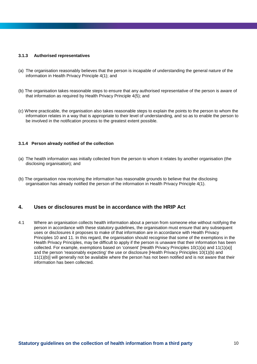#### **3.1.3 Authorised representatives**

- (a) The organisation reasonably believes that the person is incapable of understanding the general nature of the information in Health Privacy Principle 4(1); and
- (b) The organisation takes reasonable steps to ensure that any authorised representative of the person is aware of that information as required by Health Privacy Principle 4(5); and
- (c) Where practicable, the organisation also takes reasonable steps to explain the points to the person to whom the information relates in a way that is appropriate to their level of understanding, and so as to enable the person to be involved in the notification process to the greatest extent possible.

#### **3.1.4 Person already notified of the collection**

- (a) The health information was initially collected from the person to whom it relates by another organisation (the disclosing organisation); and
- (b) The organisation now receiving the information has reasonable grounds to believe that the disclosing organisation has already notified the person of the information in Health Privacy Principle 4(1).

#### **4. Uses or disclosures must be in accordance with the HRIP Act**

4.1 Where an organisation collects health information about a person from someone else without notifying the person in accordance with these statutory guidelines, the organisation must ensure that any subsequent uses or disclosures it proposes to make of that information are in accordance with Health Privacy Principles 10 and 11. In this regard, the organisation should recognise that some of the exemptions in the Health Privacy Principles, may be difficult to apply if the person is unaware that their information has been collected. For example, exemptions based on 'consent' [Health Privacy Principles 10(1)(a) and 11(1)(a)] and the person 'reasonably expecting' the use or disclosure [Health Privacy Principles 10(1)(b) and 11(1)(b)] will generally not be available where the person has not been notified and is not aware that their information has been collected.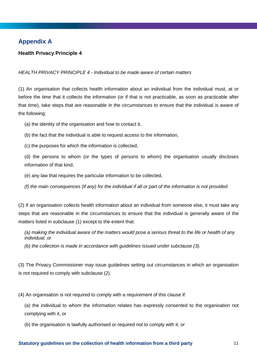# **Appendix A**

#### **Health Privacy Principle 4**

#### HEALTH PRIVACY PRINCIPLE 4 - Individual to be made aware of certain matters

(1) An organisation that collects health information about an individual from the individual must, at or before the time that it collects the information (or if that is not practicable, as soon as practicable after that time), take steps that are reasonable in the circumstances to ensure that the individual is aware of the following:

(a) the identity of the organisation and how to contact it,

(b) the fact that the individual is able to request access to the information,

(c) the purposes for which the information is collected,

(d) the persons to whom (or the types of persons to whom) the organisation usually discloses information of that kind,

(e) any law that requires the particular information to be collected,

(f) the main consequences (if any) for the individual if all or part of the information is not provided.

(2) If an organisation collects health information about an individual from someone else, it must take any steps that are reasonable in the circumstances to ensure that the individual is generally aware of the matters listed in subclause (1) except to the extent that:

(a) making the individual aware of the matters would pose a serious threat to the life or health of any individual, or

(b) the collection is made in accordance with guidelines issued under subclause (3).

(3) The Privacy Commissioner may issue guidelines setting out circumstances in which an organisation is not required to comply with subclause (2).

(4) An organisation is not required to comply with a requirement of this clause if:

(a) the individual to whom the information relates has expressly consented to the organisation not complying with it, or

(b) the organisation is lawfully authorised or required not to comply with it, or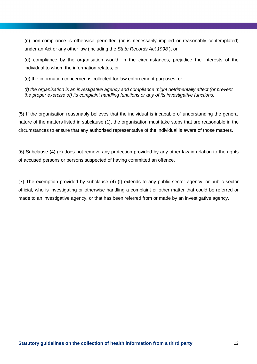(c) non-compliance is otherwise permitted (or is necessarily implied or reasonably contemplated) under an Act or any other law (including the State Records Act 1998 ), or

(d) compliance by the organisation would, in the circumstances, prejudice the interests of the individual to whom the information relates, or

(e) the information concerned is collected for law enforcement purposes, or

(f) the organisation is an investigative agency and compliance might detrimentally affect (or prevent the proper exercise of) its complaint handling functions or any of its investigative functions.

(5) If the organisation reasonably believes that the individual is incapable of understanding the general nature of the matters listed in subclause (1), the organisation must take steps that are reasonable in the circumstances to ensure that any authorised representative of the individual is aware of those matters.

(6) Subclause (4) (e) does not remove any protection provided by any other law in relation to the rights of accused persons or persons suspected of having committed an offence.

(7) The exemption provided by subclause (4) (f) extends to any public sector agency, or public sector official, who is investigating or otherwise handling a complaint or other matter that could be referred or made to an investigative agency, or that has been referred from or made by an investigative agency.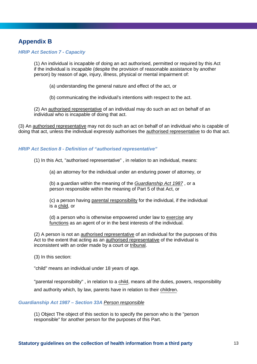# **Appendix B**

#### **HRIP Act Section 7 - Capacity**

(1) An individual is incapable of doing an act authorised, permitted or required by this Act if the individual is incapable (despite the provision of reasonable assistance by another person) by reason of age, injury, illness, physical or mental impairment of:

- (a) understanding the general nature and effect of the act, or
- (b) communicating the individual's intentions with respect to the act.

(2) An authorised representative of an individual may do such an act on behalf of an individual who is incapable of doing that act.

(3) An authorised representative may not do such an act on behalf of an individual who is capable of doing that act, unless the individual expressly authorises the authorised representative to do that act.

#### **HRIP Act Section 8 - Definition of "authorised representative"**

(1) In this Act, "authorised representative" , in relation to an individual, means:

(a) an attorney for the individual under an enduring power of attorney, or

(b) a guardian within the meaning of the Guardianship Act 1987 , or a person responsible within the meaning of Part 5 of that Act, or

(c) a person having parental responsibility for the individual, if the individual is a child, or

(d) a person who is otherwise empowered under law to exercise any functions as an agent of or in the best interests of the individual.

(2) A person is not an authorised representative of an individual for the purposes of this Act to the extent that acting as an authorised representative of the individual is inconsistent with an order made by a court or tribunal.

(3) In this section:

"child" means an individual under 18 years of age.

"parental responsibility" , in relation to a child, means all the duties, powers, responsibility and authority which, by law, parents have in relation to their children.

#### **Guardianship Act 1987 – Section 33A** Person responsible

(1) Object The object of this section is to specify the person who is the "person responsible" for another person for the purposes of this Part.